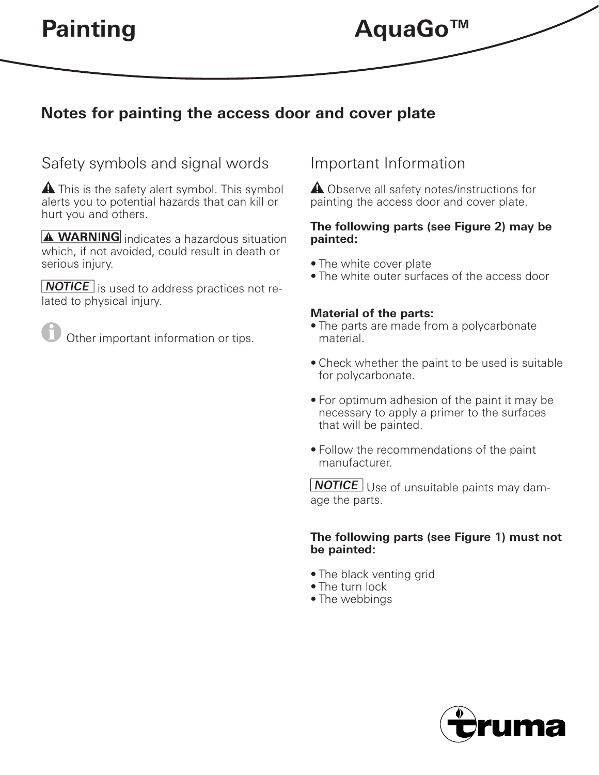## **Notes for painting the access door and cover plate**

### Safety symbols and signal words

 $\triangle$  This is the safety alert symbol. This symbol alerts you to potential hazards that can kill or hurt you and others.

**A WARNING** indicates a hazardous situation which, if not avoided, could result in death or serious injury.

 $\sqrt{\text{NOTE}}$  is used to address practices not related to physical injury.

Other important information or tips.

### Important Information

**A** Observe all safety notes/instructions for painting the access door and cover plate.

#### **The following parts (see Figure 2) may be painted:**

- The white cover plate
- The white outer surfaces of the access door

### **Material of the parts:**

- The parts are made from a polycarbonate material.
- Check whether the paint to be used is suitable for polycarbonate.
- For optimum adhesion of the paint it may be necessary to apply a primer to the surfaces that will be painted.
- Follow the recommendations of the paint manufacturer.

**NOTICE** Use of unsuitable paints may damage the parts.

#### **The following parts (see Figure 1) must not be painted:**

- The black venting grid
- The turn lock
- The webbings

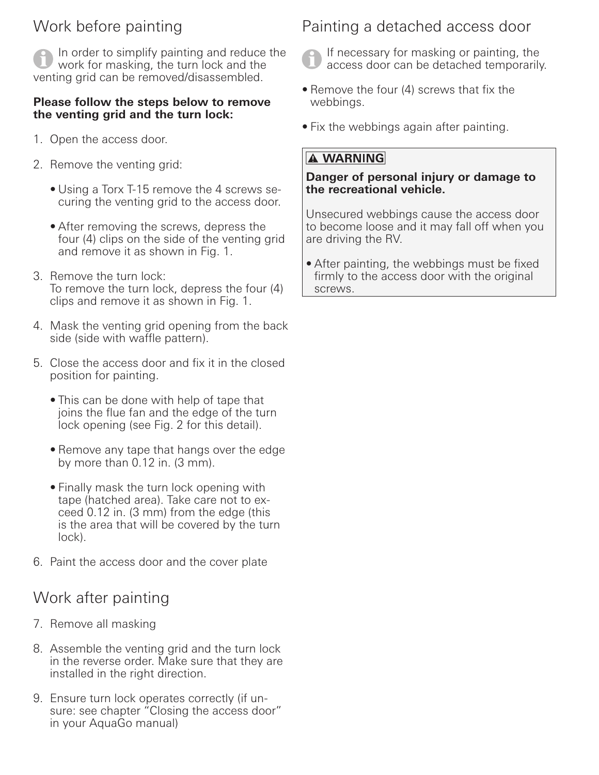# Work before painting

In order to simplify painting and reduce the work for masking, the turn lock and the venting grid can be removed/disassembled.

### **Please follow the steps below to remove the venting grid and the turn lock:**

- 1. Open the access door.
- 2. Remove the venting grid:
	- Using a Torx T-15 remove the 4 screws securing the venting grid to the access door.
	- After removing the screws, depress the four (4) clips on the side of the venting grid and remove it as shown in Fig. 1.
- 3. Remove the turn lock: To remove the turn lock, depress the four (4) clips and remove it as shown in Fig. 1.
- 4. Mask the venting grid opening from the back side (side with waffle pattern).
- 5. Close the access door and fix it in the closed position for painting.
	- This can be done with help of tape that joins the flue fan and the edge of the turn lock opening (see Fig. 2 for this detail).
	- Remove any tape that hangs over the edge by more than 0.12 in. (3 mm).
	- Finally mask the turn lock opening with tape (hatched area). Take care not to exceed 0.12 in. (3 mm) from the edge (this is the area that will be covered by the turn lock).
- 6. Paint the access door and the cover plate

## Work after painting

- 7. Remove all masking
- 8. Assemble the venting grid and the turn lock in the reverse order. Make sure that they are installed in the right direction.
- 9. Ensure turn lock operates correctly (if unsure: see chapter "Closing the access door" in your AquaGo manual)

## Painting a detached access door

If necessary for masking or painting, the access door can be detached temporarily.

- Remove the four (4) screws that fix the webbings.
- Fix the webbings again after painting.

### **A WARNING**

### **Danger of personal injury or damage to the recreational vehicle.**

Unsecured webbings cause the access door to become loose and it may fall off when you are driving the RV.

• After painting, the webbings must be fixed firmly to the access door with the original screws.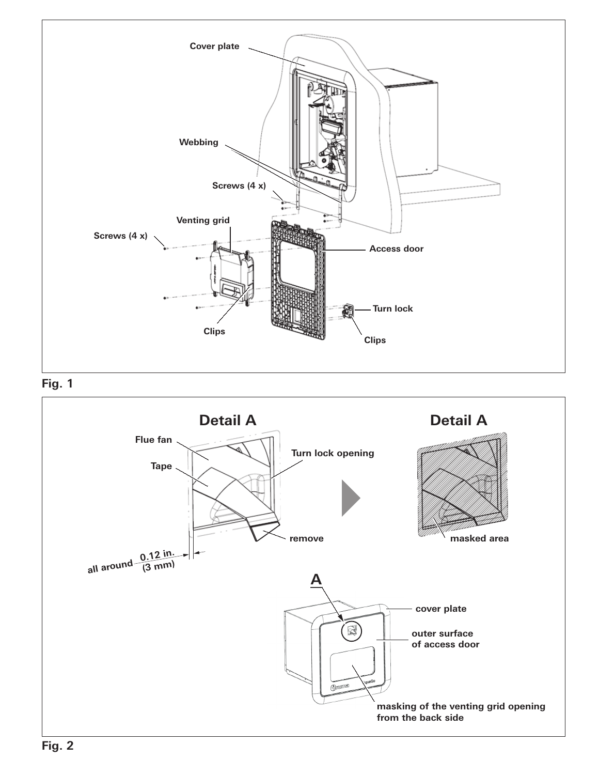